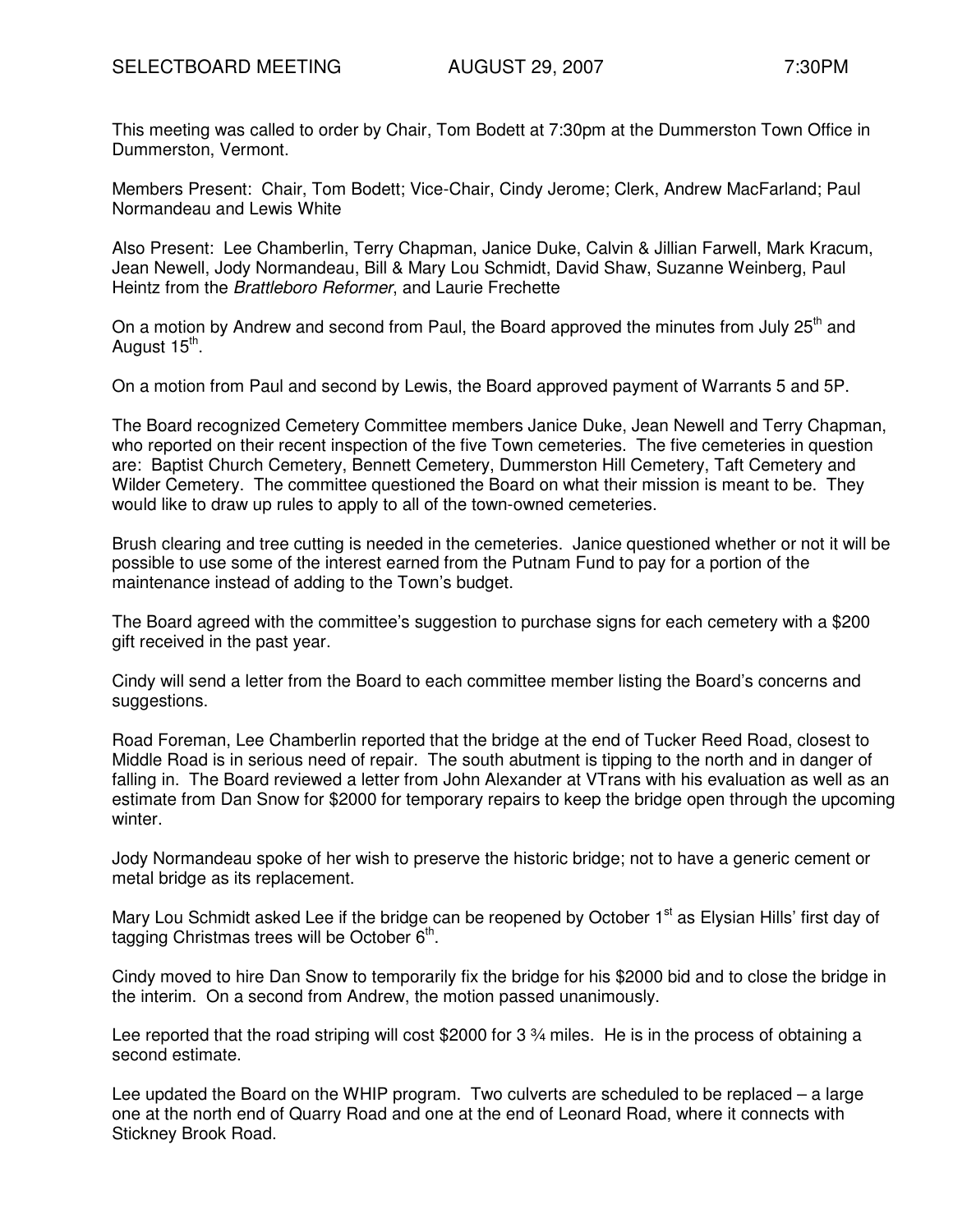This meeting was called to order by Chair, Tom Bodett at 7:30pm at the Dummerston Town Office in Dummerston, Vermont.

Members Present: Chair, Tom Bodett; Vice-Chair, Cindy Jerome; Clerk, Andrew MacFarland; Paul Normandeau and Lewis White

Also Present: Lee Chamberlin, Terry Chapman, Janice Duke, Calvin & Jillian Farwell, Mark Kracum, Jean Newell, Jody Normandeau, Bill & Mary Lou Schmidt, David Shaw, Suzanne Weinberg, Paul Heintz from the Brattleboro Reformer, and Laurie Frechette

On a motion by Andrew and second from Paul, the Board approved the minutes from July 25<sup>th</sup> and August 15<sup>th</sup>.

On a motion from Paul and second by Lewis, the Board approved payment of Warrants 5 and 5P.

The Board recognized Cemetery Committee members Janice Duke, Jean Newell and Terry Chapman, who reported on their recent inspection of the five Town cemeteries. The five cemeteries in question are: Baptist Church Cemetery, Bennett Cemetery, Dummerston Hill Cemetery, Taft Cemetery and Wilder Cemetery. The committee questioned the Board on what their mission is meant to be. They would like to draw up rules to apply to all of the town-owned cemeteries.

Brush clearing and tree cutting is needed in the cemeteries. Janice questioned whether or not it will be possible to use some of the interest earned from the Putnam Fund to pay for a portion of the maintenance instead of adding to the Town's budget.

The Board agreed with the committee's suggestion to purchase signs for each cemetery with a \$200 gift received in the past year.

Cindy will send a letter from the Board to each committee member listing the Board's concerns and suggestions.

Road Foreman, Lee Chamberlin reported that the bridge at the end of Tucker Reed Road, closest to Middle Road is in serious need of repair. The south abutment is tipping to the north and in danger of falling in. The Board reviewed a letter from John Alexander at VTrans with his evaluation as well as an estimate from Dan Snow for \$2000 for temporary repairs to keep the bridge open through the upcoming winter.

Jody Normandeau spoke of her wish to preserve the historic bridge; not to have a generic cement or metal bridge as its replacement.

Mary Lou Schmidt asked Lee if the bridge can be reopened by October 1<sup>st</sup> as Elysian Hills' first day of tagging Christmas trees will be October 6<sup>th</sup>.

Cindy moved to hire Dan Snow to temporarily fix the bridge for his \$2000 bid and to close the bridge in the interim. On a second from Andrew, the motion passed unanimously.

Lee reported that the road striping will cost \$2000 for 3 \%4 miles. He is in the process of obtaining a second estimate.

Lee updated the Board on the WHIP program. Two culverts are scheduled to be replaced – a large one at the north end of Quarry Road and one at the end of Leonard Road, where it connects with Stickney Brook Road.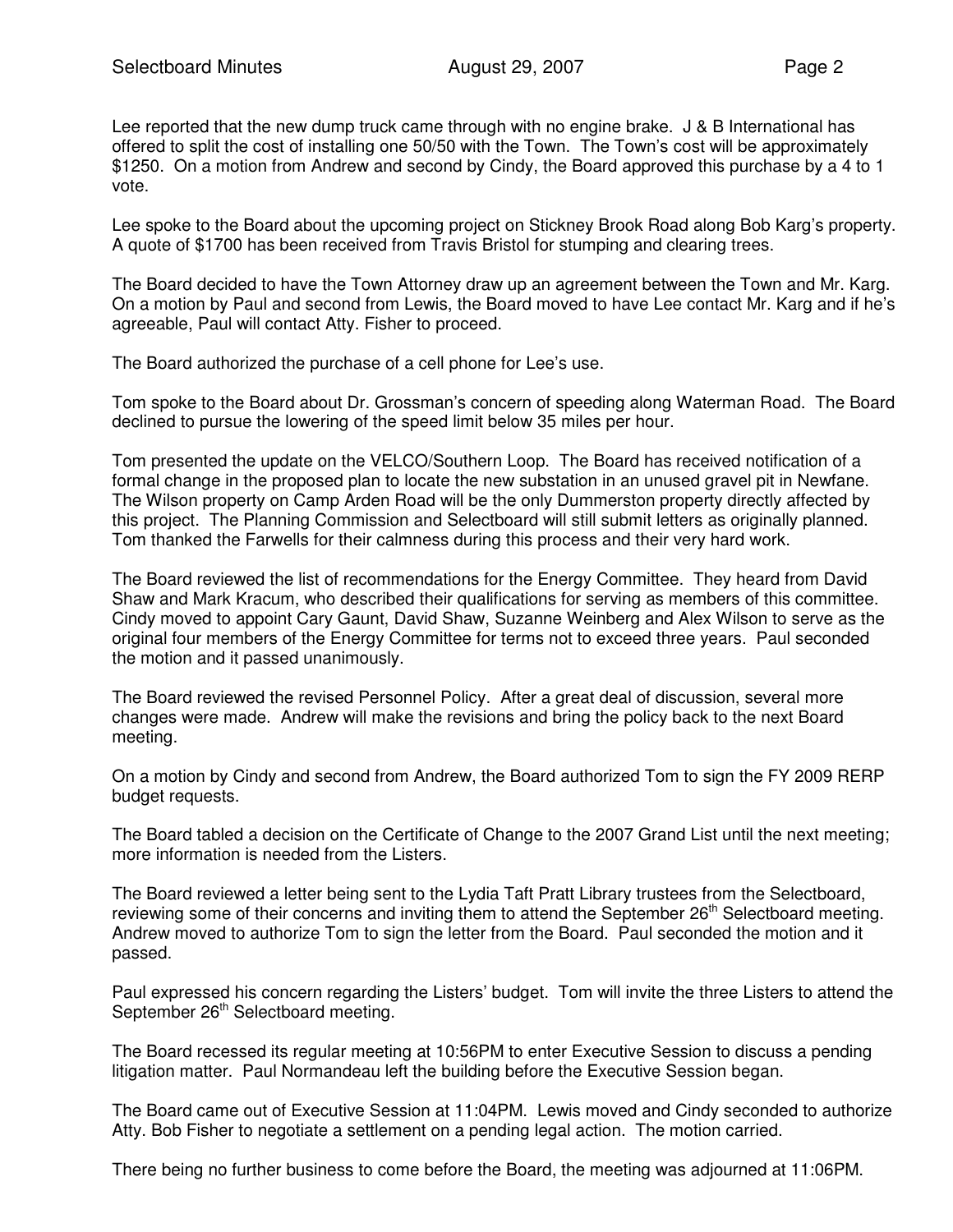Lee reported that the new dump truck came through with no engine brake. J & B International has offered to split the cost of installing one 50/50 with the Town. The Town's cost will be approximately \$1250. On a motion from Andrew and second by Cindy, the Board approved this purchase by a 4 to 1 vote.

Lee spoke to the Board about the upcoming project on Stickney Brook Road along Bob Karg's property. A quote of \$1700 has been received from Travis Bristol for stumping and clearing trees.

The Board decided to have the Town Attorney draw up an agreement between the Town and Mr. Karg. On a motion by Paul and second from Lewis, the Board moved to have Lee contact Mr. Karg and if he's agreeable, Paul will contact Atty. Fisher to proceed.

The Board authorized the purchase of a cell phone for Lee's use.

Tom spoke to the Board about Dr. Grossman's concern of speeding along Waterman Road. The Board declined to pursue the lowering of the speed limit below 35 miles per hour.

Tom presented the update on the VELCO/Southern Loop. The Board has received notification of a formal change in the proposed plan to locate the new substation in an unused gravel pit in Newfane. The Wilson property on Camp Arden Road will be the only Dummerston property directly affected by this project. The Planning Commission and Selectboard will still submit letters as originally planned. Tom thanked the Farwells for their calmness during this process and their very hard work.

The Board reviewed the list of recommendations for the Energy Committee. They heard from David Shaw and Mark Kracum, who described their qualifications for serving as members of this committee. Cindy moved to appoint Cary Gaunt, David Shaw, Suzanne Weinberg and Alex Wilson to serve as the original four members of the Energy Committee for terms not to exceed three years. Paul seconded the motion and it passed unanimously.

The Board reviewed the revised Personnel Policy. After a great deal of discussion, several more changes were made. Andrew will make the revisions and bring the policy back to the next Board meeting.

On a motion by Cindy and second from Andrew, the Board authorized Tom to sign the FY 2009 RERP budget requests.

The Board tabled a decision on the Certificate of Change to the 2007 Grand List until the next meeting; more information is needed from the Listers.

The Board reviewed a letter being sent to the Lydia Taft Pratt Library trustees from the Selectboard, reviewing some of their concerns and inviting them to attend the September 26<sup>th</sup> Selectboard meeting. Andrew moved to authorize Tom to sign the letter from the Board. Paul seconded the motion and it passed.

Paul expressed his concern regarding the Listers' budget. Tom will invite the three Listers to attend the September 26<sup>th</sup> Selectboard meeting.

The Board recessed its regular meeting at 10:56PM to enter Executive Session to discuss a pending litigation matter. Paul Normandeau left the building before the Executive Session began.

The Board came out of Executive Session at 11:04PM. Lewis moved and Cindy seconded to authorize Atty. Bob Fisher to negotiate a settlement on a pending legal action. The motion carried.

There being no further business to come before the Board, the meeting was adjourned at 11:06PM.